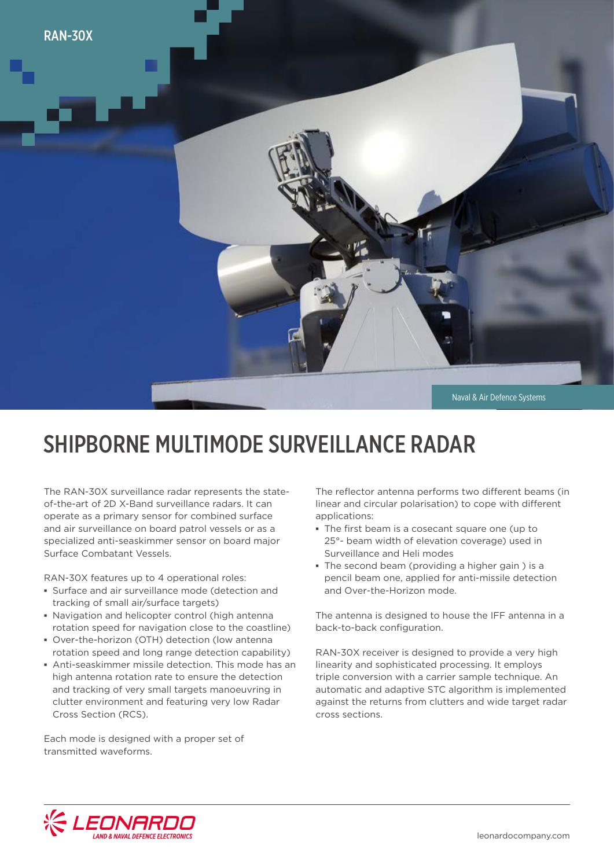

## SHIPBORNE MULTIMODE SURVEILLANCE RADAR

The RAN-30X surveillance radar represents the stateof-the-art of 2D X-Band surveillance radars. It can operate as a primary sensor for combined surface and air surveillance on board patrol vessels or as a specialized anti-seaskimmer sensor on board major Surface Combatant Vessels.

RAN-30X features up to 4 operational roles:

- **▪** Surface and air surveillance mode (detection and tracking of small air/surface targets)
- **▪** Navigation and helicopter control (high antenna rotation speed for navigation close to the coastline)
- **▪** Over-the-horizon (OTH) detection (low antenna rotation speed and long range detection capability)
- **▪** Anti-seaskimmer missile detection. This mode has an high antenna rotation rate to ensure the detection and tracking of very small targets manoeuvring in clutter environment and featuring very low Radar Cross Section (RCS).

Each mode is designed with a proper set of transmitted waveforms.

The reflector antenna performs two different beams (in linear and circular polarisation) to cope with different applications:

- **▪** The first beam is a cosecant square one (up to 25°- beam width of elevation coverage) used in Surveillance and Heli modes
- **▪** The second beam (providing a higher gain ) is a pencil beam one, applied for anti-missile detection and Over-the-Horizon mode.

The antenna is designed to house the IFF antenna in a back-to-back configuration.

RAN-30X receiver is designed to provide a very high linearity and sophisticated processing. It employs triple conversion with a carrier sample technique. An automatic and adaptive STC algorithm is implemented against the returns from clutters and wide target radar cross sections.